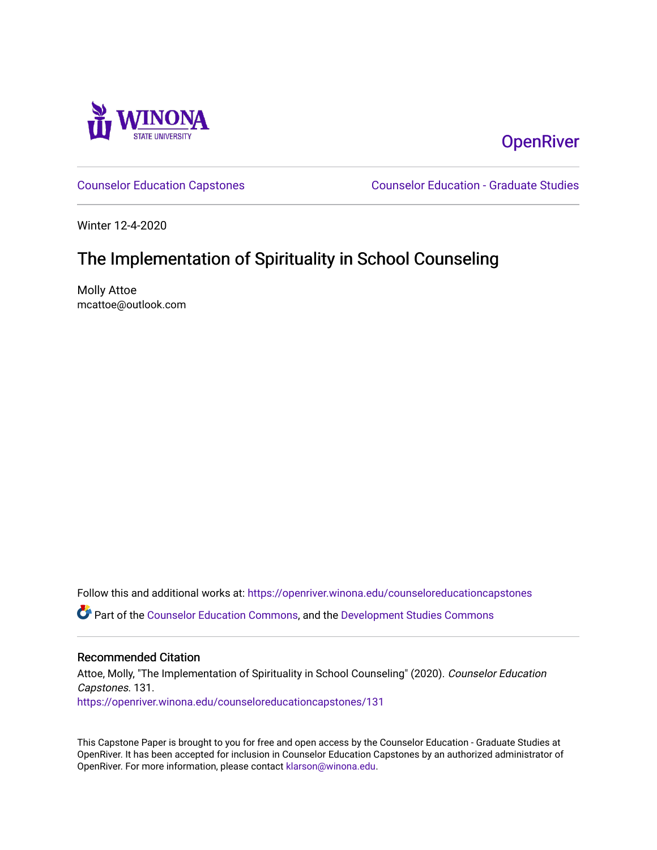

# **OpenRiver**

[Counselor Education Capstones](https://openriver.winona.edu/counseloreducationcapstones) [Counselor Education - Graduate Studies](https://openriver.winona.edu/counseloreducation) 

Winter 12-4-2020

# The Implementation of Spirituality in School Counseling

Molly Attoe mcattoe@outlook.com

Follow this and additional works at: [https://openriver.winona.edu/counseloreducationcapstones](https://openriver.winona.edu/counseloreducationcapstones?utm_source=openriver.winona.edu%2Fcounseloreducationcapstones%2F131&utm_medium=PDF&utm_campaign=PDFCoverPages)

Part of the [Counselor Education Commons,](http://network.bepress.com/hgg/discipline/1278?utm_source=openriver.winona.edu%2Fcounseloreducationcapstones%2F131&utm_medium=PDF&utm_campaign=PDFCoverPages) and the [Development Studies Commons](http://network.bepress.com/hgg/discipline/1422?utm_source=openriver.winona.edu%2Fcounseloreducationcapstones%2F131&utm_medium=PDF&utm_campaign=PDFCoverPages) 

## Recommended Citation

Attoe, Molly, "The Implementation of Spirituality in School Counseling" (2020). Counselor Education Capstones. 131. [https://openriver.winona.edu/counseloreducationcapstones/131](https://openriver.winona.edu/counseloreducationcapstones/131?utm_source=openriver.winona.edu%2Fcounseloreducationcapstones%2F131&utm_medium=PDF&utm_campaign=PDFCoverPages)

This Capstone Paper is brought to you for free and open access by the Counselor Education - Graduate Studies at OpenRiver. It has been accepted for inclusion in Counselor Education Capstones by an authorized administrator of OpenRiver. For more information, please contact [klarson@winona.edu](mailto:klarson@winona.edu).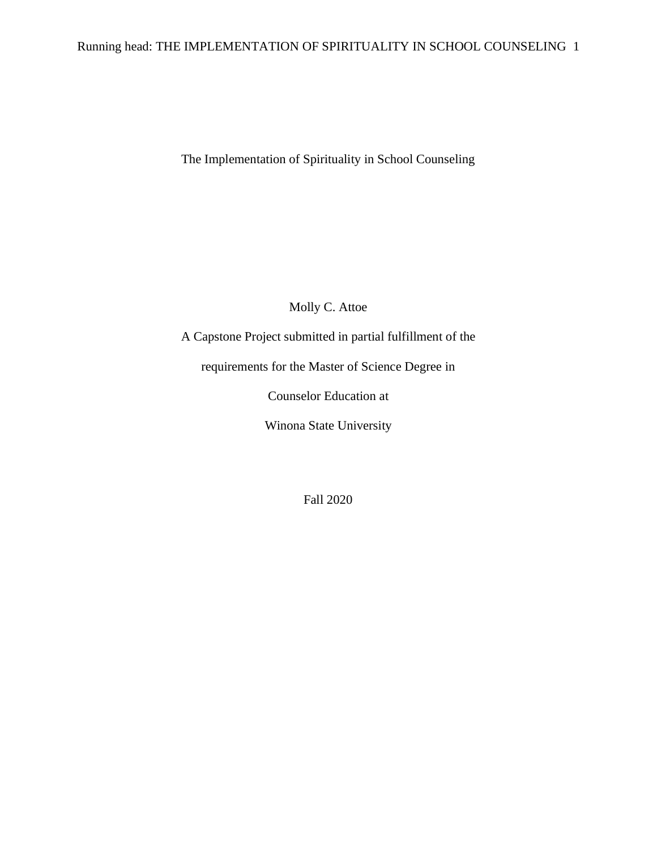## Running head: THE IMPLEMENTATION OF SPIRITUALITY IN SCHOOL COUNSELING 1

The Implementation of Spirituality in School Counseling

Molly C. Attoe

A Capstone Project submitted in partial fulfillment of the

requirements for the Master of Science Degree in

Counselor Education at

Winona State University

Fall 2020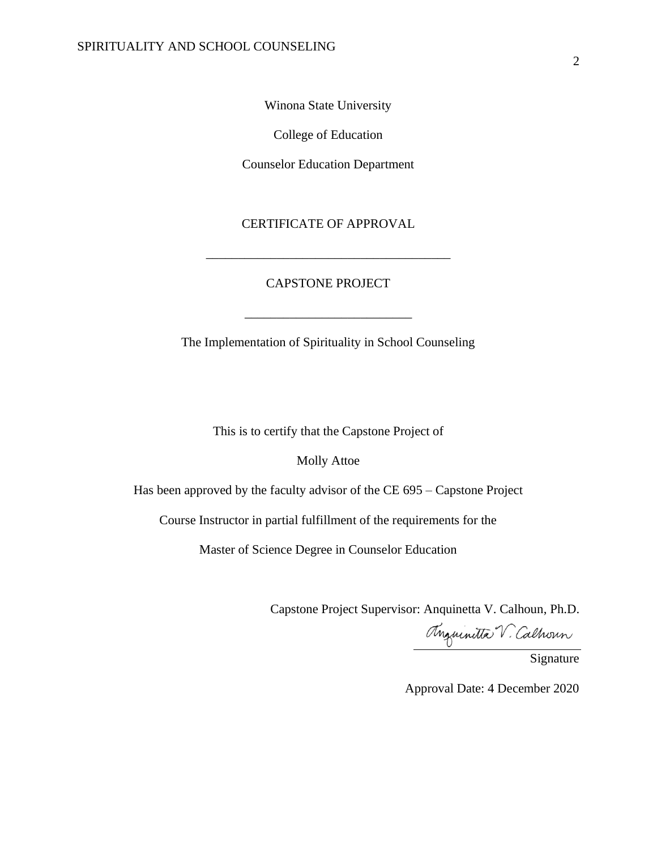Winona State University

College of Education

Counselor Education Department

## CERTIFICATE OF APPROVAL

## CAPSTONE PROJECT

\_\_\_\_\_\_\_\_\_\_\_\_\_\_\_\_\_\_\_\_\_\_\_\_\_\_\_\_\_\_\_\_\_\_\_\_\_\_

The Implementation of Spirituality in School Counseling

\_\_\_\_\_\_\_\_\_\_\_\_\_\_\_\_\_\_\_\_\_\_\_\_\_\_

This is to certify that the Capstone Project of

Molly Attoe

Has been approved by the faculty advisor of the CE 695 – Capstone Project

Course Instructor in partial fulfillment of the requirements for the

Master of Science Degree in Counselor Education

Capstone Project Supervisor: Anquinetta V. Calhoun, Ph.D.

Anguinitta V. Calhoun

Signature

Approval Date: 4 December 2020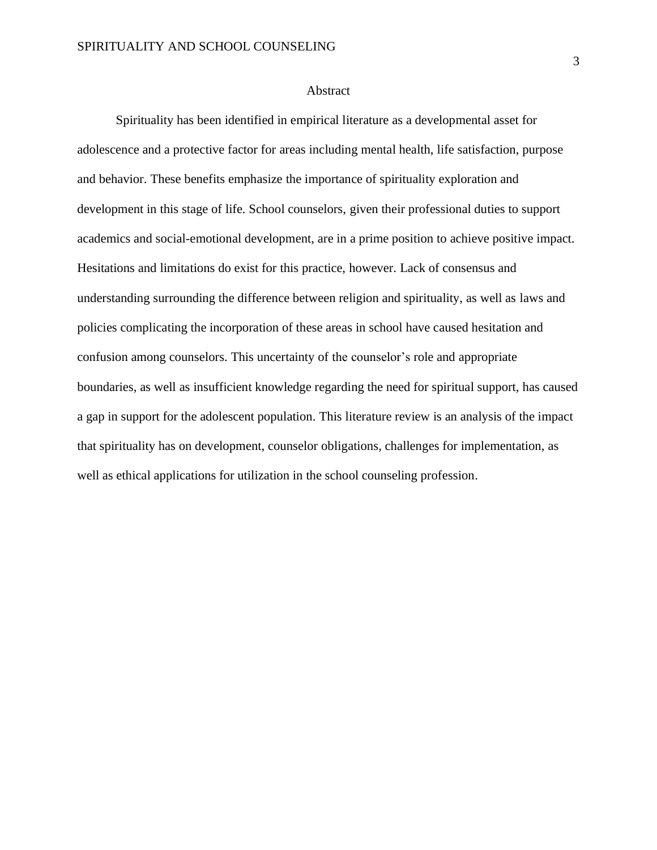#### **Abstract**

Spirituality has been identified in empirical literature as a developmental asset for adolescence and a protective factor for areas including mental health, life satisfaction, purpose and behavior. These benefits emphasize the importance of spirituality exploration and development in this stage of life. School counselors, given their professional duties to support academics and social-emotional development, are in a prime position to achieve positive impact. Hesitations and limitations do exist for this practice, however. Lack of consensus and understanding surrounding the difference between religion and spirituality, as well as laws and policies complicating the incorporation of these areas in school have caused hesitation and confusion among counselors. This uncertainty of the counselor's role and appropriate boundaries, as well as insufficient knowledge regarding the need for spiritual support, has caused a gap in support for the adolescent population. This literature review is an analysis of the impact that spirituality has on development, counselor obligations, challenges for implementation, as well as ethical applications for utilization in the school counseling profession.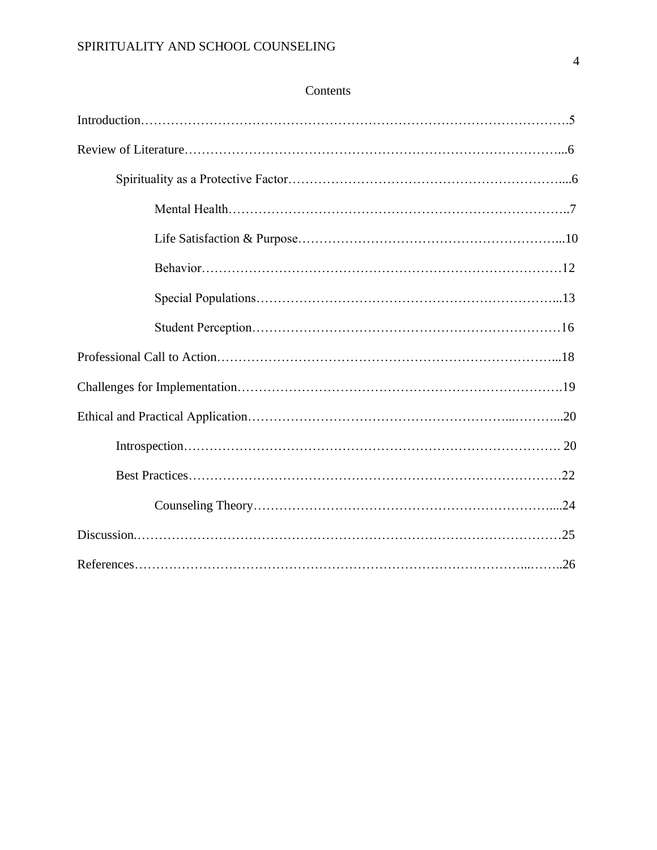## Contents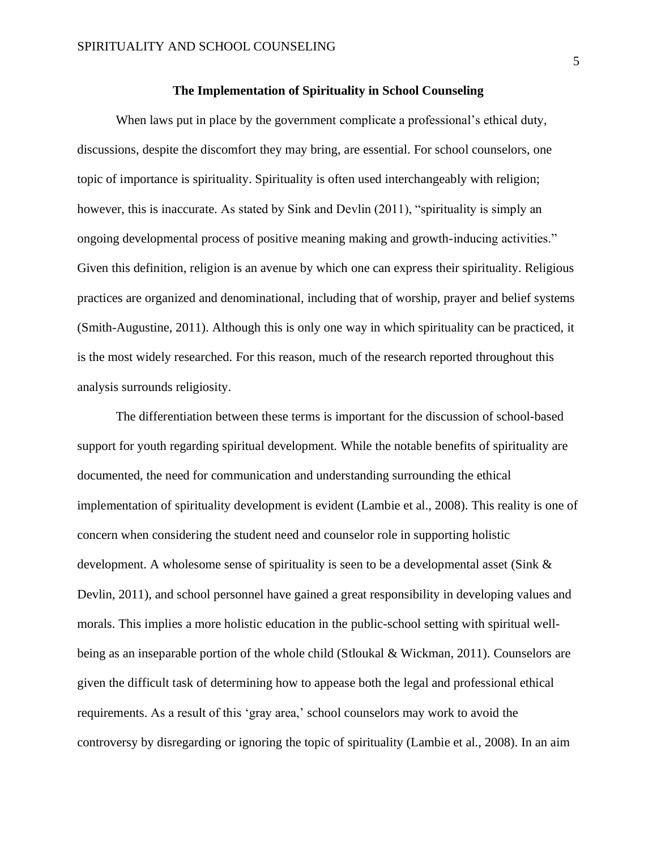## **The Implementation of Spirituality in School Counseling**

When laws put in place by the government complicate a professional's ethical duty, discussions, despite the discomfort they may bring, are essential. For school counselors, one topic of importance is spirituality. Spirituality is often used interchangeably with religion; however, this is inaccurate. As stated by Sink and Devlin (2011), "spirituality is simply an ongoing developmental process of positive meaning making and growth-inducing activities." Given this definition, religion is an avenue by which one can express their spirituality. Religious practices are organized and denominational, including that of worship, prayer and belief systems (Smith-Augustine, 2011). Although this is only one way in which spirituality can be practiced, it is the most widely researched. For this reason, much of the research reported throughout this analysis surrounds religiosity.

The differentiation between these terms is important for the discussion of school-based support for youth regarding spiritual development. While the notable benefits of spirituality are documented, the need for communication and understanding surrounding the ethical implementation of spirituality development is evident (Lambie et al., 2008). This reality is one of concern when considering the student need and counselor role in supporting holistic development. A wholesome sense of spirituality is seen to be a developmental asset (Sink & Devlin, 2011), and school personnel have gained a great responsibility in developing values and morals. This implies a more holistic education in the public-school setting with spiritual wellbeing as an inseparable portion of the whole child (Stloukal & Wickman, 2011). Counselors are given the difficult task of determining how to appease both the legal and professional ethical requirements. As a result of this 'gray area,' school counselors may work to avoid the controversy by disregarding or ignoring the topic of spirituality (Lambie et al., 2008). In an aim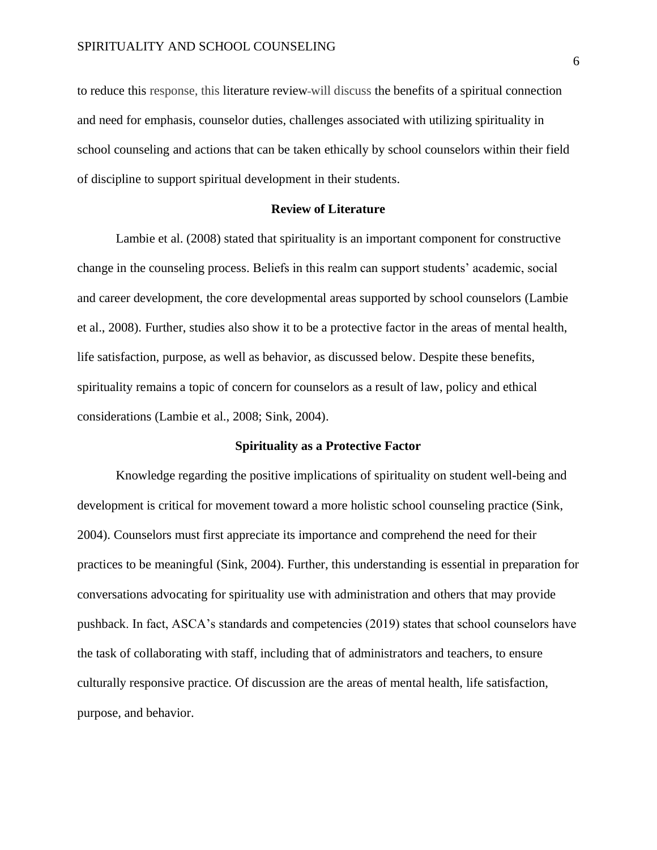to reduce this response, this literature review will discuss the benefits of a spiritual connection and need for emphasis, counselor duties, challenges associated with utilizing spirituality in school counseling and actions that can be taken ethically by school counselors within their field of discipline to support spiritual development in their students.

## **Review of Literature**

Lambie et al. (2008) stated that spirituality is an important component for constructive change in the counseling process. Beliefs in this realm can support students' academic, social and career development, the core developmental areas supported by school counselors (Lambie et al., 2008). Further, studies also show it to be a protective factor in the areas of mental health, life satisfaction, purpose, as well as behavior, as discussed below. Despite these benefits, spirituality remains a topic of concern for counselors as a result of law, policy and ethical considerations (Lambie et al., 2008; Sink, 2004).

## **Spirituality as a Protective Factor**

Knowledge regarding the positive implications of spirituality on student well-being and development is critical for movement toward a more holistic school counseling practice (Sink, 2004). Counselors must first appreciate its importance and comprehend the need for their practices to be meaningful (Sink, 2004). Further, this understanding is essential in preparation for conversations advocating for spirituality use with administration and others that may provide pushback. In fact, ASCA's standards and competencies (2019) states that school counselors have the task of collaborating with staff, including that of administrators and teachers, to ensure culturally responsive practice. Of discussion are the areas of mental health, life satisfaction, purpose, and behavior.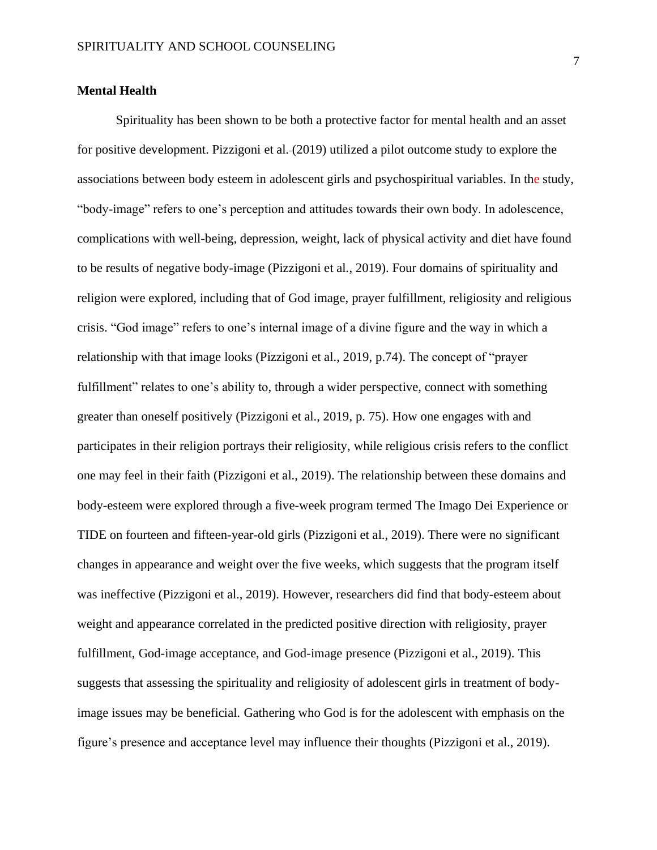## **Mental Health**

Spirituality has been shown to be both a protective factor for mental health and an asset for positive development. Pizzigoni et al. (2019) utilized a pilot outcome study to explore the associations between body esteem in adolescent girls and psychospiritual variables. In the study, "body-image" refers to one's perception and attitudes towards their own body. In adolescence, complications with well-being, depression, weight, lack of physical activity and diet have found to be results of negative body-image (Pizzigoni et al., 2019). Four domains of spirituality and religion were explored, including that of God image, prayer fulfillment, religiosity and religious crisis. "God image" refers to one's internal image of a divine figure and the way in which a relationship with that image looks (Pizzigoni et al., 2019, p.74). The concept of "prayer fulfillment" relates to one's ability to, through a wider perspective, connect with something greater than oneself positively (Pizzigoni et al., 2019, p. 75). How one engages with and participates in their religion portrays their religiosity, while religious crisis refers to the conflict one may feel in their faith (Pizzigoni et al., 2019). The relationship between these domains and body-esteem were explored through a five-week program termed The Imago Dei Experience or TIDE on fourteen and fifteen-year-old girls (Pizzigoni et al., 2019). There were no significant changes in appearance and weight over the five weeks, which suggests that the program itself was ineffective (Pizzigoni et al., 2019). However, researchers did find that body-esteem about weight and appearance correlated in the predicted positive direction with religiosity, prayer fulfillment, God-image acceptance, and God-image presence (Pizzigoni et al., 2019). This suggests that assessing the spirituality and religiosity of adolescent girls in treatment of bodyimage issues may be beneficial. Gathering who God is for the adolescent with emphasis on the figure's presence and acceptance level may influence their thoughts (Pizzigoni et al., 2019).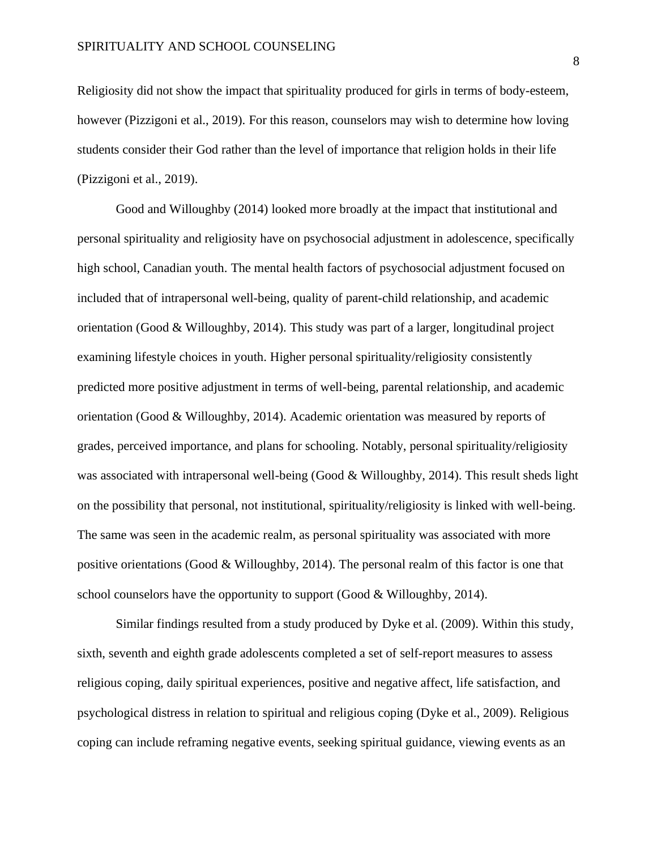Religiosity did not show the impact that spirituality produced for girls in terms of body-esteem, however (Pizzigoni et al., 2019). For this reason, counselors may wish to determine how loving students consider their God rather than the level of importance that religion holds in their life (Pizzigoni et al., 2019).

Good and Willoughby (2014) looked more broadly at the impact that institutional and personal spirituality and religiosity have on psychosocial adjustment in adolescence, specifically high school, Canadian youth. The mental health factors of psychosocial adjustment focused on included that of intrapersonal well-being, quality of parent-child relationship, and academic orientation (Good & Willoughby, 2014). This study was part of a larger, longitudinal project examining lifestyle choices in youth. Higher personal spirituality/religiosity consistently predicted more positive adjustment in terms of well-being, parental relationship, and academic orientation (Good & Willoughby, 2014). Academic orientation was measured by reports of grades, perceived importance, and plans for schooling. Notably, personal spirituality/religiosity was associated with intrapersonal well-being (Good  $&$  Willoughby, 2014). This result sheds light on the possibility that personal, not institutional, spirituality/religiosity is linked with well-being. The same was seen in the academic realm, as personal spirituality was associated with more positive orientations (Good & Willoughby, 2014). The personal realm of this factor is one that school counselors have the opportunity to support (Good & Willoughby, 2014).

Similar findings resulted from a study produced by Dyke et al. (2009). Within this study, sixth, seventh and eighth grade adolescents completed a set of self-report measures to assess religious coping, daily spiritual experiences, positive and negative affect, life satisfaction, and psychological distress in relation to spiritual and religious coping (Dyke et al., 2009). Religious coping can include reframing negative events, seeking spiritual guidance, viewing events as an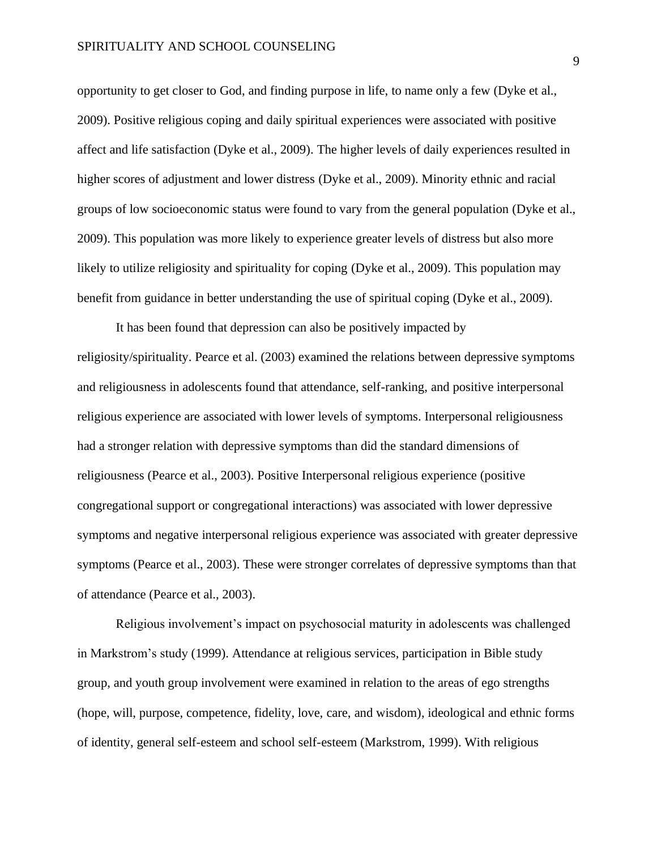opportunity to get closer to God, and finding purpose in life, to name only a few (Dyke et al., 2009). Positive religious coping and daily spiritual experiences were associated with positive affect and life satisfaction (Dyke et al., 2009). The higher levels of daily experiences resulted in higher scores of adjustment and lower distress (Dyke et al., 2009). Minority ethnic and racial groups of low socioeconomic status were found to vary from the general population (Dyke et al., 2009). This population was more likely to experience greater levels of distress but also more likely to utilize religiosity and spirituality for coping (Dyke et al., 2009). This population may benefit from guidance in better understanding the use of spiritual coping (Dyke et al., 2009).

It has been found that depression can also be positively impacted by religiosity/spirituality. Pearce et al. (2003) examined the relations between depressive symptoms and religiousness in adolescents found that attendance, self-ranking, and positive interpersonal religious experience are associated with lower levels of symptoms. Interpersonal religiousness had a stronger relation with depressive symptoms than did the standard dimensions of religiousness (Pearce et al., 2003). Positive Interpersonal religious experience (positive congregational support or congregational interactions) was associated with lower depressive symptoms and negative interpersonal religious experience was associated with greater depressive symptoms (Pearce et al., 2003). These were stronger correlates of depressive symptoms than that of attendance (Pearce et al., 2003).

Religious involvement's impact on psychosocial maturity in adolescents was challenged in Markstrom's study (1999). Attendance at religious services, participation in Bible study group, and youth group involvement were examined in relation to the areas of ego strengths (hope, will, purpose, competence, fidelity, love, care, and wisdom), ideological and ethnic forms of identity, general self-esteem and school self-esteem (Markstrom, 1999). With religious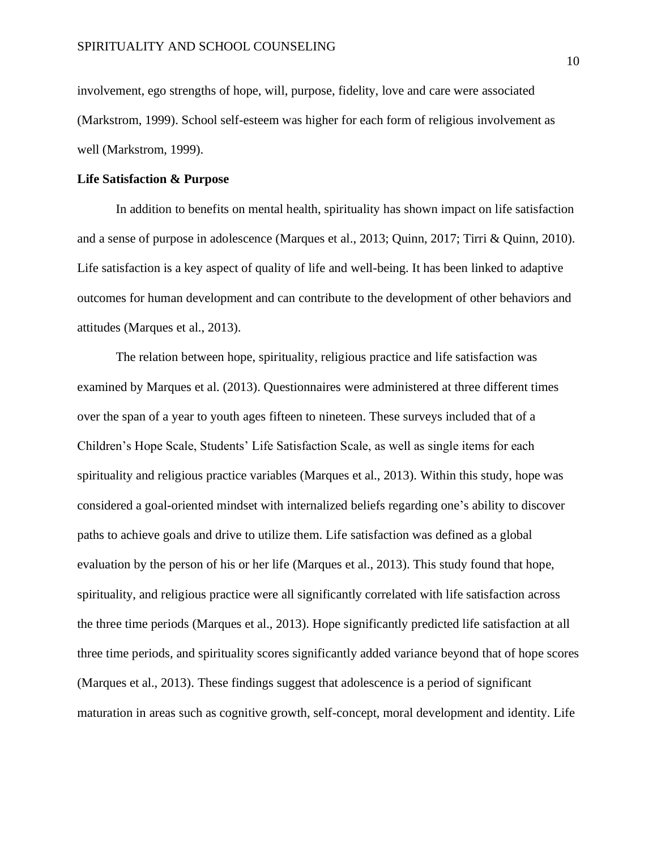involvement, ego strengths of hope, will, purpose, fidelity, love and care were associated (Markstrom, 1999). School self-esteem was higher for each form of religious involvement as well (Markstrom, 1999).

## **Life Satisfaction & Purpose**

In addition to benefits on mental health, spirituality has shown impact on life satisfaction and a sense of purpose in adolescence (Marques et al., 2013; Quinn, 2017; Tirri & Quinn, 2010). Life satisfaction is a key aspect of quality of life and well-being. It has been linked to adaptive outcomes for human development and can contribute to the development of other behaviors and attitudes (Marques et al., 2013).

The relation between hope, spirituality, religious practice and life satisfaction was examined by Marques et al. (2013). Questionnaires were administered at three different times over the span of a year to youth ages fifteen to nineteen. These surveys included that of a Children's Hope Scale, Students' Life Satisfaction Scale, as well as single items for each spirituality and religious practice variables (Marques et al., 2013). Within this study, hope was considered a goal-oriented mindset with internalized beliefs regarding one's ability to discover paths to achieve goals and drive to utilize them. Life satisfaction was defined as a global evaluation by the person of his or her life (Marques et al., 2013). This study found that hope, spirituality, and religious practice were all significantly correlated with life satisfaction across the three time periods (Marques et al., 2013). Hope significantly predicted life satisfaction at all three time periods, and spirituality scores significantly added variance beyond that of hope scores (Marques et al., 2013). These findings suggest that adolescence is a period of significant maturation in areas such as cognitive growth, self-concept, moral development and identity. Life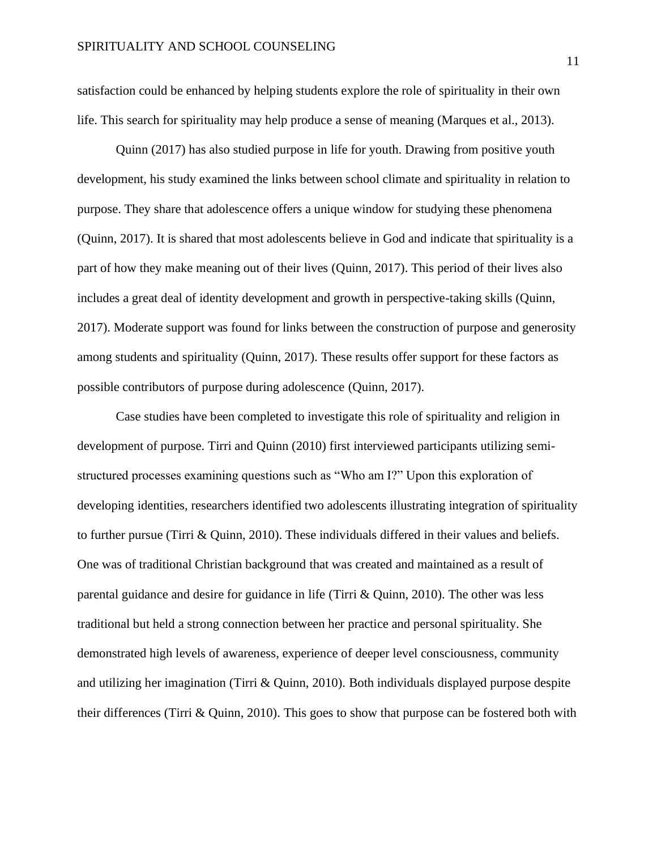satisfaction could be enhanced by helping students explore the role of spirituality in their own life. This search for spirituality may help produce a sense of meaning (Marques et al., 2013).

Quinn (2017) has also studied purpose in life for youth. Drawing from positive youth development, his study examined the links between school climate and spirituality in relation to purpose. They share that adolescence offers a unique window for studying these phenomena (Quinn, 2017). It is shared that most adolescents believe in God and indicate that spirituality is a part of how they make meaning out of their lives (Quinn, 2017). This period of their lives also includes a great deal of identity development and growth in perspective-taking skills (Quinn, 2017). Moderate support was found for links between the construction of purpose and generosity among students and spirituality (Quinn, 2017). These results offer support for these factors as possible contributors of purpose during adolescence (Quinn, 2017).

Case studies have been completed to investigate this role of spirituality and religion in development of purpose. Tirri and Quinn (2010) first interviewed participants utilizing semistructured processes examining questions such as "Who am I?" Upon this exploration of developing identities, researchers identified two adolescents illustrating integration of spirituality to further pursue (Tirri & Quinn, 2010). These individuals differed in their values and beliefs. One was of traditional Christian background that was created and maintained as a result of parental guidance and desire for guidance in life (Tirri & Quinn, 2010). The other was less traditional but held a strong connection between her practice and personal spirituality. She demonstrated high levels of awareness, experience of deeper level consciousness, community and utilizing her imagination (Tirri & Quinn, 2010). Both individuals displayed purpose despite their differences (Tirri & Quinn, 2010). This goes to show that purpose can be fostered both with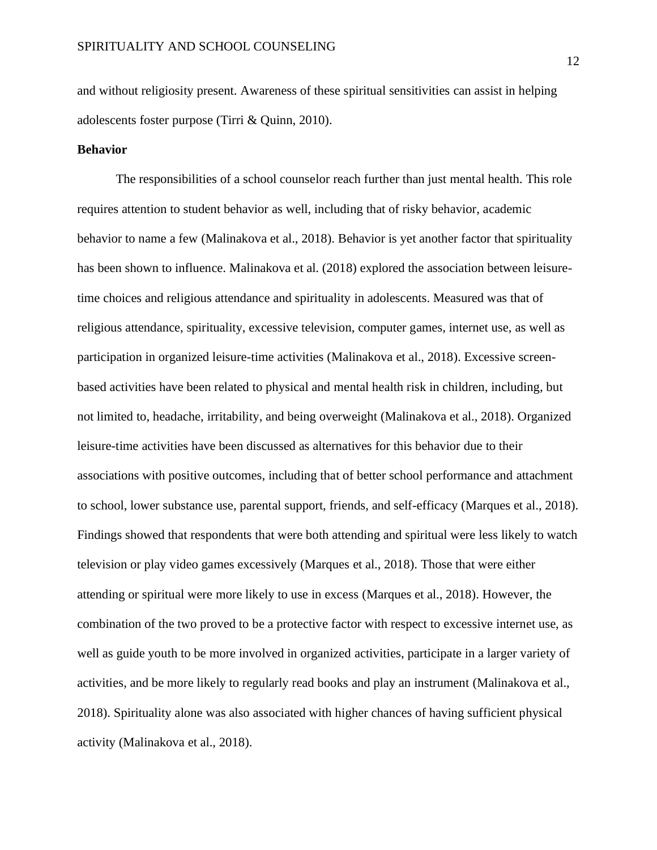and without religiosity present. Awareness of these spiritual sensitivities can assist in helping adolescents foster purpose (Tirri & Quinn, 2010).

## **Behavior**

The responsibilities of a school counselor reach further than just mental health. This role requires attention to student behavior as well, including that of risky behavior, academic behavior to name a few (Malinakova et al., 2018). Behavior is yet another factor that spirituality has been shown to influence. Malinakova et al. (2018) explored the association between leisuretime choices and religious attendance and spirituality in adolescents. Measured was that of religious attendance, spirituality, excessive television, computer games, internet use, as well as participation in organized leisure-time activities (Malinakova et al., 2018). Excessive screenbased activities have been related to physical and mental health risk in children, including, but not limited to, headache, irritability, and being overweight (Malinakova et al., 2018). Organized leisure-time activities have been discussed as alternatives for this behavior due to their associations with positive outcomes, including that of better school performance and attachment to school, lower substance use, parental support, friends, and self-efficacy (Marques et al., 2018). Findings showed that respondents that were both attending and spiritual were less likely to watch television or play video games excessively (Marques et al., 2018). Those that were either attending or spiritual were more likely to use in excess (Marques et al., 2018). However, the combination of the two proved to be a protective factor with respect to excessive internet use, as well as guide youth to be more involved in organized activities, participate in a larger variety of activities, and be more likely to regularly read books and play an instrument (Malinakova et al., 2018). Spirituality alone was also associated with higher chances of having sufficient physical activity (Malinakova et al., 2018).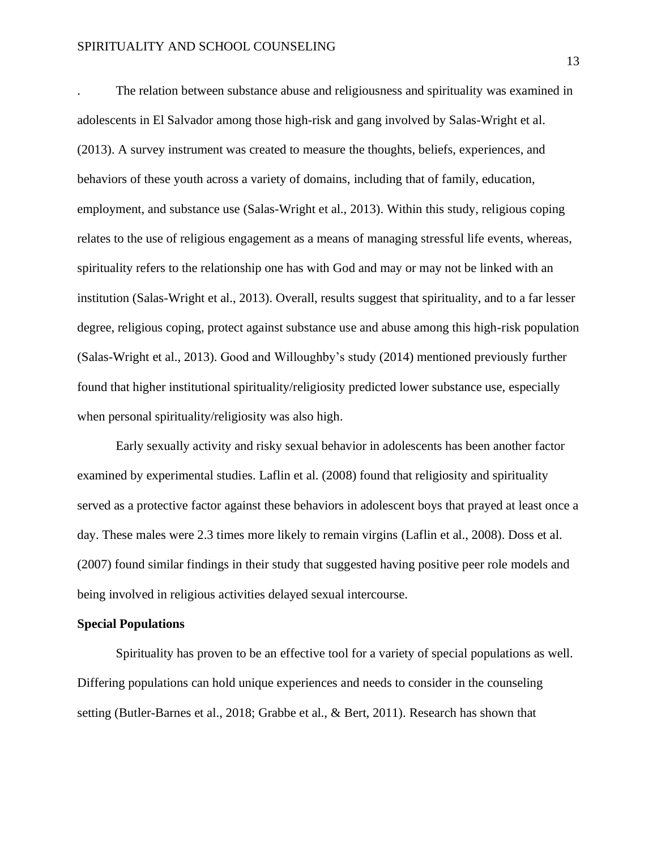. The relation between substance abuse and religiousness and spirituality was examined in adolescents in El Salvador among those high-risk and gang involved by Salas-Wright et al. (2013). A survey instrument was created to measure the thoughts, beliefs, experiences, and behaviors of these youth across a variety of domains, including that of family, education, employment, and substance use (Salas-Wright et al., 2013). Within this study, religious coping relates to the use of religious engagement as a means of managing stressful life events, whereas, spirituality refers to the relationship one has with God and may or may not be linked with an institution (Salas-Wright et al., 2013). Overall, results suggest that spirituality, and to a far lesser degree, religious coping, protect against substance use and abuse among this high-risk population (Salas-Wright et al., 2013). Good and Willoughby's study (2014) mentioned previously further found that higher institutional spirituality/religiosity predicted lower substance use, especially when personal spirituality/religiosity was also high.

Early sexually activity and risky sexual behavior in adolescents has been another factor examined by experimental studies. Laflin et al. (2008) found that religiosity and spirituality served as a protective factor against these behaviors in adolescent boys that prayed at least once a day. These males were 2.3 times more likely to remain virgins (Laflin et al., 2008). Doss et al. (2007) found similar findings in their study that suggested having positive peer role models and being involved in religious activities delayed sexual intercourse.

#### **Special Populations**

Spirituality has proven to be an effective tool for a variety of special populations as well. Differing populations can hold unique experiences and needs to consider in the counseling setting (Butler-Barnes et al., 2018; Grabbe et al., & Bert, 2011). Research has shown that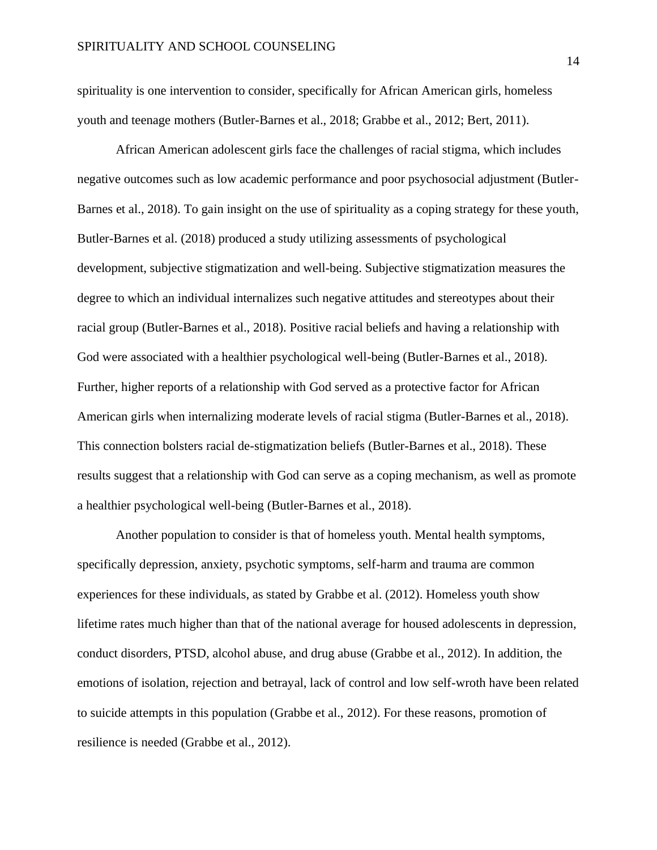spirituality is one intervention to consider, specifically for African American girls, homeless youth and teenage mothers (Butler-Barnes et al., 2018; Grabbe et al., 2012; Bert, 2011).

African American adolescent girls face the challenges of racial stigma, which includes negative outcomes such as low academic performance and poor psychosocial adjustment (Butler-Barnes et al., 2018). To gain insight on the use of spirituality as a coping strategy for these youth, Butler-Barnes et al. (2018) produced a study utilizing assessments of psychological development, subjective stigmatization and well-being. Subjective stigmatization measures the degree to which an individual internalizes such negative attitudes and stereotypes about their racial group (Butler-Barnes et al., 2018). Positive racial beliefs and having a relationship with God were associated with a healthier psychological well-being (Butler-Barnes et al., 2018). Further, higher reports of a relationship with God served as a protective factor for African American girls when internalizing moderate levels of racial stigma (Butler-Barnes et al., 2018). This connection bolsters racial de-stigmatization beliefs (Butler-Barnes et al., 2018). These results suggest that a relationship with God can serve as a coping mechanism, as well as promote a healthier psychological well-being (Butler-Barnes et al., 2018).

Another population to consider is that of homeless youth. Mental health symptoms, specifically depression, anxiety, psychotic symptoms, self-harm and trauma are common experiences for these individuals, as stated by Grabbe et al. (2012). Homeless youth show lifetime rates much higher than that of the national average for housed adolescents in depression, conduct disorders, PTSD, alcohol abuse, and drug abuse (Grabbe et al., 2012). In addition, the emotions of isolation, rejection and betrayal, lack of control and low self-wroth have been related to suicide attempts in this population (Grabbe et al., 2012). For these reasons, promotion of resilience is needed (Grabbe et al., 2012).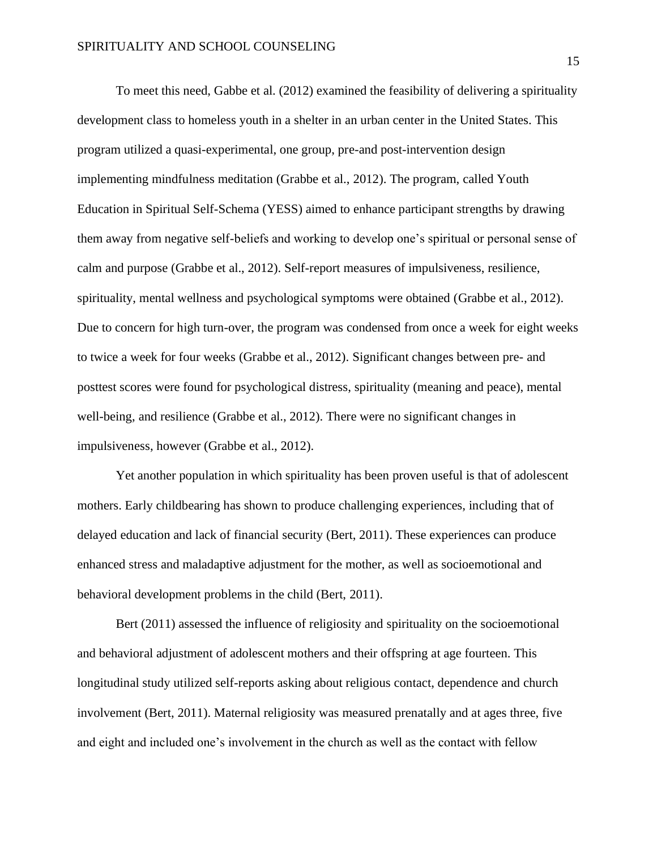To meet this need, Gabbe et al. (2012) examined the feasibility of delivering a spirituality development class to homeless youth in a shelter in an urban center in the United States. This program utilized a quasi-experimental, one group, pre-and post-intervention design implementing mindfulness meditation (Grabbe et al., 2012). The program, called Youth Education in Spiritual Self-Schema (YESS) aimed to enhance participant strengths by drawing them away from negative self-beliefs and working to develop one's spiritual or personal sense of calm and purpose (Grabbe et al., 2012). Self-report measures of impulsiveness, resilience, spirituality, mental wellness and psychological symptoms were obtained (Grabbe et al., 2012). Due to concern for high turn-over, the program was condensed from once a week for eight weeks to twice a week for four weeks (Grabbe et al., 2012). Significant changes between pre- and posttest scores were found for psychological distress, spirituality (meaning and peace), mental well-being, and resilience (Grabbe et al., 2012). There were no significant changes in impulsiveness, however (Grabbe et al., 2012).

Yet another population in which spirituality has been proven useful is that of adolescent mothers. Early childbearing has shown to produce challenging experiences, including that of delayed education and lack of financial security (Bert, 2011). These experiences can produce enhanced stress and maladaptive adjustment for the mother, as well as socioemotional and behavioral development problems in the child (Bert, 2011).

Bert (2011) assessed the influence of religiosity and spirituality on the socioemotional and behavioral adjustment of adolescent mothers and their offspring at age fourteen. This longitudinal study utilized self-reports asking about religious contact, dependence and church involvement (Bert, 2011). Maternal religiosity was measured prenatally and at ages three, five and eight and included one's involvement in the church as well as the contact with fellow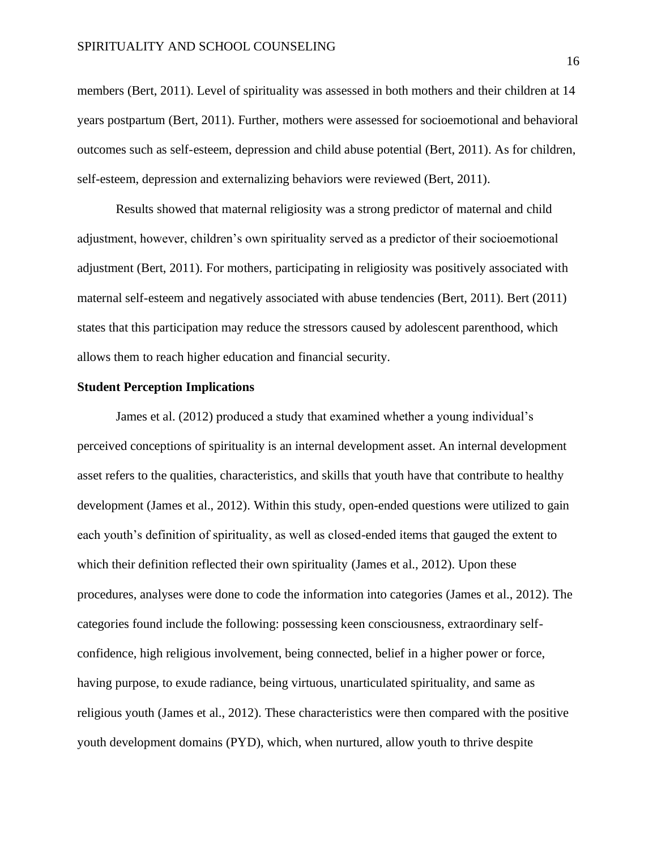members (Bert, 2011). Level of spirituality was assessed in both mothers and their children at 14 years postpartum (Bert, 2011). Further, mothers were assessed for socioemotional and behavioral outcomes such as self-esteem, depression and child abuse potential (Bert, 2011). As for children, self-esteem, depression and externalizing behaviors were reviewed (Bert, 2011).

Results showed that maternal religiosity was a strong predictor of maternal and child adjustment, however, children's own spirituality served as a predictor of their socioemotional adjustment (Bert, 2011). For mothers, participating in religiosity was positively associated with maternal self-esteem and negatively associated with abuse tendencies (Bert, 2011). Bert (2011) states that this participation may reduce the stressors caused by adolescent parenthood, which allows them to reach higher education and financial security.

## **Student Perception Implications**

James et al. (2012) produced a study that examined whether a young individual's perceived conceptions of spirituality is an internal development asset. An internal development asset refers to the qualities, characteristics, and skills that youth have that contribute to healthy development (James et al., 2012). Within this study, open-ended questions were utilized to gain each youth's definition of spirituality, as well as closed-ended items that gauged the extent to which their definition reflected their own spirituality (James et al., 2012). Upon these procedures, analyses were done to code the information into categories (James et al., 2012). The categories found include the following: possessing keen consciousness, extraordinary selfconfidence, high religious involvement, being connected, belief in a higher power or force, having purpose, to exude radiance, being virtuous, unarticulated spirituality, and same as religious youth (James et al., 2012). These characteristics were then compared with the positive youth development domains (PYD), which, when nurtured, allow youth to thrive despite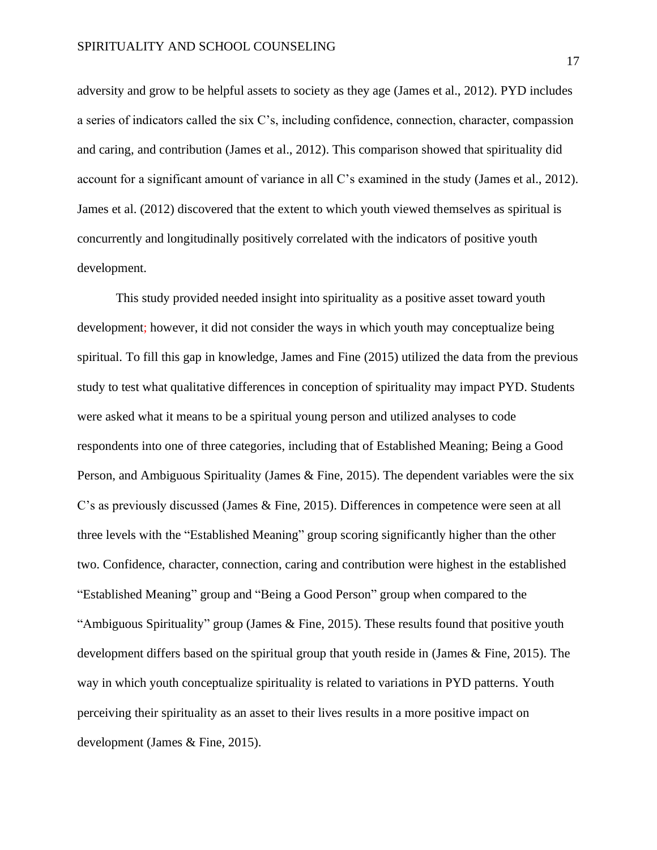adversity and grow to be helpful assets to society as they age (James et al., 2012). PYD includes a series of indicators called the six C's, including confidence, connection, character, compassion and caring, and contribution (James et al., 2012). This comparison showed that spirituality did account for a significant amount of variance in all C's examined in the study (James et al., 2012). James et al. (2012) discovered that the extent to which youth viewed themselves as spiritual is concurrently and longitudinally positively correlated with the indicators of positive youth development.

This study provided needed insight into spirituality as a positive asset toward youth development; however, it did not consider the ways in which youth may conceptualize being spiritual. To fill this gap in knowledge, James and Fine (2015) utilized the data from the previous study to test what qualitative differences in conception of spirituality may impact PYD. Students were asked what it means to be a spiritual young person and utilized analyses to code respondents into one of three categories, including that of Established Meaning; Being a Good Person, and Ambiguous Spirituality (James & Fine, 2015). The dependent variables were the six C's as previously discussed (James & Fine, 2015). Differences in competence were seen at all three levels with the "Established Meaning" group scoring significantly higher than the other two. Confidence, character, connection, caring and contribution were highest in the established "Established Meaning" group and "Being a Good Person" group when compared to the "Ambiguous Spirituality" group (James & Fine, 2015). These results found that positive youth development differs based on the spiritual group that youth reside in (James & Fine, 2015). The way in which youth conceptualize spirituality is related to variations in PYD patterns. Youth perceiving their spirituality as an asset to their lives results in a more positive impact on development (James & Fine, 2015).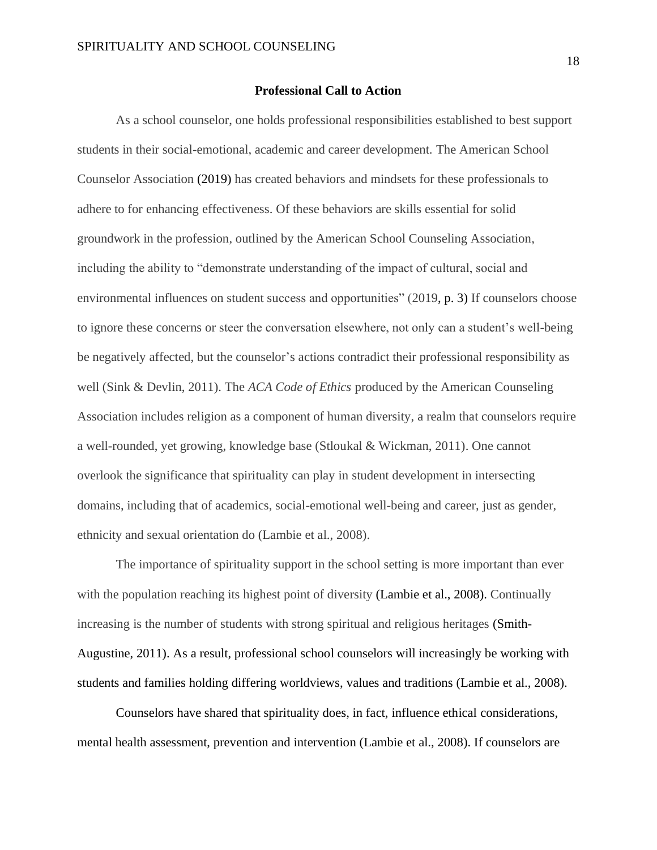#### **Professional Call to Action**

As a school counselor, one holds professional responsibilities established to best support students in their social-emotional, academic and career development. The American School Counselor Association (2019) has created behaviors and mindsets for these professionals to adhere to for enhancing effectiveness. Of these behaviors are skills essential for solid groundwork in the profession, outlined by the American School Counseling Association, including the ability to "demonstrate understanding of the impact of cultural, social and environmental influences on student success and opportunities" (2019, p. 3) If counselors choose to ignore these concerns or steer the conversation elsewhere, not only can a student's well-being be negatively affected, but the counselor's actions contradict their professional responsibility as well (Sink & Devlin, 2011). The *ACA Code of Ethics* produced by the American Counseling Association includes religion as a component of human diversity, a realm that counselors require a well-rounded, yet growing, knowledge base (Stloukal & Wickman, 2011). One cannot overlook the significance that spirituality can play in student development in intersecting domains, including that of academics, social-emotional well-being and career, just as gender, ethnicity and sexual orientation do (Lambie et al., 2008).

The importance of spirituality support in the school setting is more important than ever with the population reaching its highest point of diversity (Lambie et al., 2008). Continually increasing is the number of students with strong spiritual and religious heritages (Smith-Augustine, 2011). As a result, professional school counselors will increasingly be working with students and families holding differing worldviews, values and traditions (Lambie et al., 2008).

Counselors have shared that spirituality does, in fact, influence ethical considerations, mental health assessment, prevention and intervention (Lambie et al., 2008). If counselors are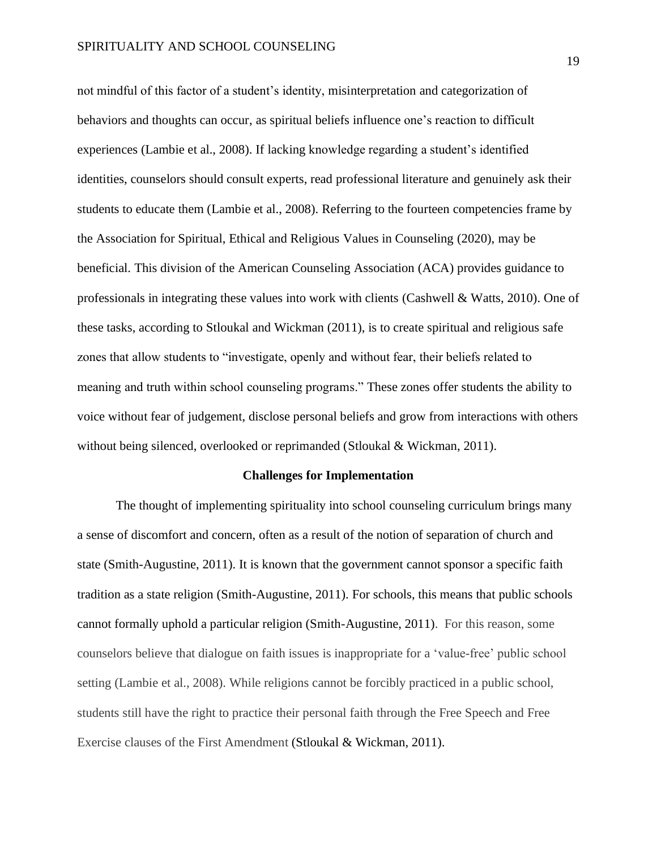not mindful of this factor of a student's identity, misinterpretation and categorization of behaviors and thoughts can occur, as spiritual beliefs influence one's reaction to difficult experiences (Lambie et al., 2008). If lacking knowledge regarding a student's identified identities, counselors should consult experts, read professional literature and genuinely ask their students to educate them (Lambie et al., 2008). Referring to the fourteen competencies frame by the Association for Spiritual, Ethical and Religious Values in Counseling (2020), may be beneficial. This division of the American Counseling Association (ACA) provides guidance to professionals in integrating these values into work with clients (Cashwell & Watts, 2010). One of these tasks, according to Stloukal and Wickman (2011), is to create spiritual and religious safe zones that allow students to "investigate, openly and without fear, their beliefs related to meaning and truth within school counseling programs." These zones offer students the ability to voice without fear of judgement, disclose personal beliefs and grow from interactions with others without being silenced, overlooked or reprimanded (Stloukal & Wickman, 2011).

## **Challenges for Implementation**

The thought of implementing spirituality into school counseling curriculum brings many a sense of discomfort and concern, often as a result of the notion of separation of church and state (Smith-Augustine, 2011). It is known that the government cannot sponsor a specific faith tradition as a state religion (Smith-Augustine, 2011). For schools, this means that public schools cannot formally uphold a particular religion (Smith-Augustine, 2011). For this reason, some counselors believe that dialogue on faith issues is inappropriate for a 'value-free' public school setting (Lambie et al., 2008). While religions cannot be forcibly practiced in a public school, students still have the right to practice their personal faith through the Free Speech and Free Exercise clauses of the First Amendment (Stloukal & Wickman, 2011).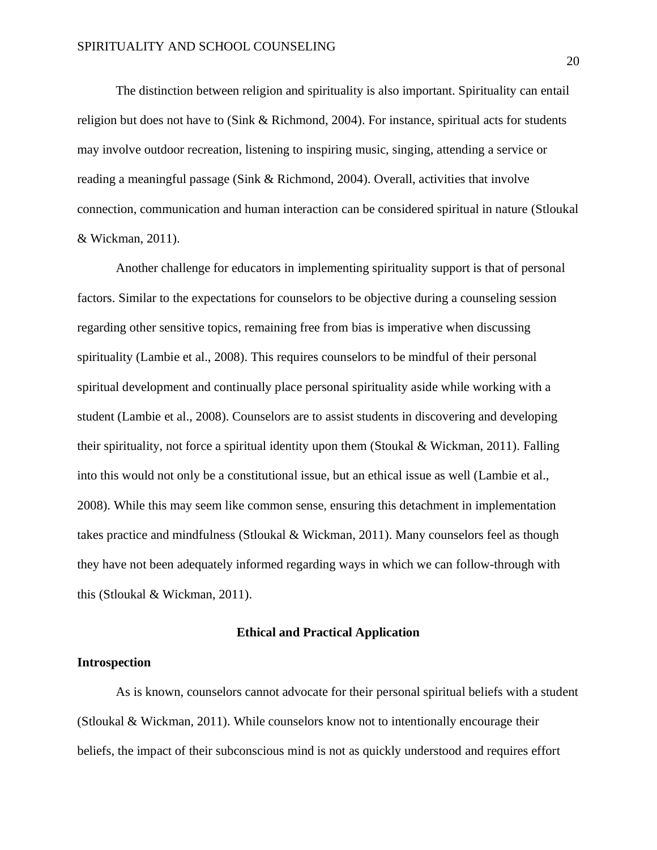The distinction between religion and spirituality is also important. Spirituality can entail religion but does not have to (Sink & Richmond, 2004). For instance, spiritual acts for students may involve outdoor recreation, listening to inspiring music, singing, attending a service or reading a meaningful passage (Sink & Richmond, 2004). Overall, activities that involve connection, communication and human interaction can be considered spiritual in nature (Stloukal & Wickman, 2011).

Another challenge for educators in implementing spirituality support is that of personal factors. Similar to the expectations for counselors to be objective during a counseling session regarding other sensitive topics, remaining free from bias is imperative when discussing spirituality (Lambie et al., 2008). This requires counselors to be mindful of their personal spiritual development and continually place personal spirituality aside while working with a student (Lambie et al., 2008). Counselors are to assist students in discovering and developing their spirituality, not force a spiritual identity upon them (Stoukal & Wickman, 2011). Falling into this would not only be a constitutional issue, but an ethical issue as well (Lambie et al., 2008). While this may seem like common sense, ensuring this detachment in implementation takes practice and mindfulness (Stloukal & Wickman, 2011). Many counselors feel as though they have not been adequately informed regarding ways in which we can follow-through with this (Stloukal & Wickman, 2011).

#### **Ethical and Practical Application**

## **Introspection**

As is known, counselors cannot advocate for their personal spiritual beliefs with a student (Stloukal & Wickman, 2011). While counselors know not to intentionally encourage their beliefs, the impact of their subconscious mind is not as quickly understood and requires effort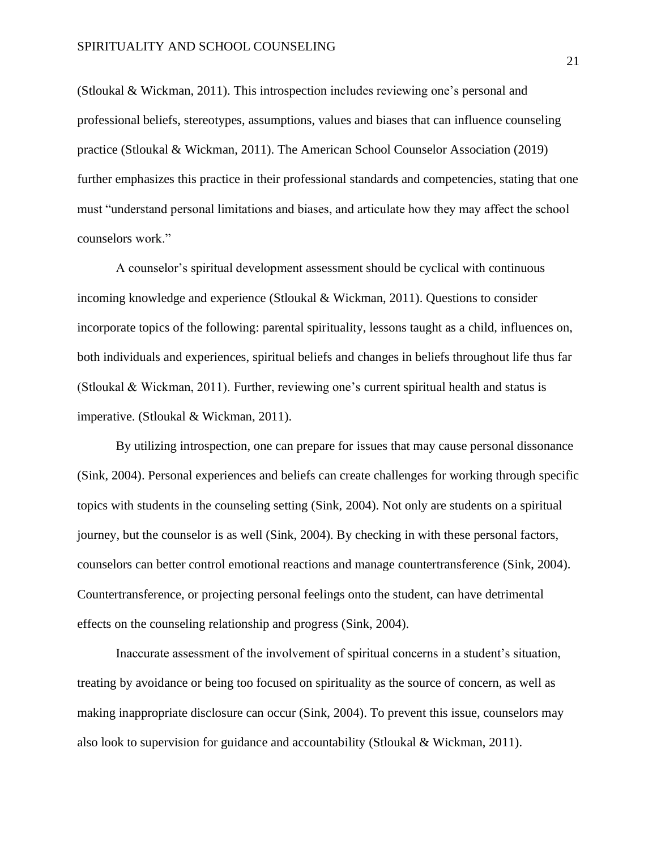(Stloukal & Wickman, 2011). This introspection includes reviewing one's personal and professional beliefs, stereotypes, assumptions, values and biases that can influence counseling practice (Stloukal & Wickman, 2011). The American School Counselor Association (2019) further emphasizes this practice in their professional standards and competencies, stating that one must "understand personal limitations and biases, and articulate how they may affect the school counselors work."

A counselor's spiritual development assessment should be cyclical with continuous incoming knowledge and experience (Stloukal & Wickman, 2011). Questions to consider incorporate topics of the following: parental spirituality, lessons taught as a child, influences on, both individuals and experiences, spiritual beliefs and changes in beliefs throughout life thus far (Stloukal & Wickman, 2011). Further, reviewing one's current spiritual health and status is imperative. (Stloukal & Wickman, 2011).

By utilizing introspection, one can prepare for issues that may cause personal dissonance (Sink, 2004). Personal experiences and beliefs can create challenges for working through specific topics with students in the counseling setting (Sink, 2004). Not only are students on a spiritual journey, but the counselor is as well (Sink, 2004). By checking in with these personal factors, counselors can better control emotional reactions and manage countertransference (Sink, 2004). Countertransference, or projecting personal feelings onto the student, can have detrimental effects on the counseling relationship and progress (Sink, 2004).

Inaccurate assessment of the involvement of spiritual concerns in a student's situation, treating by avoidance or being too focused on spirituality as the source of concern, as well as making inappropriate disclosure can occur (Sink, 2004). To prevent this issue, counselors may also look to supervision for guidance and accountability (Stloukal & Wickman, 2011).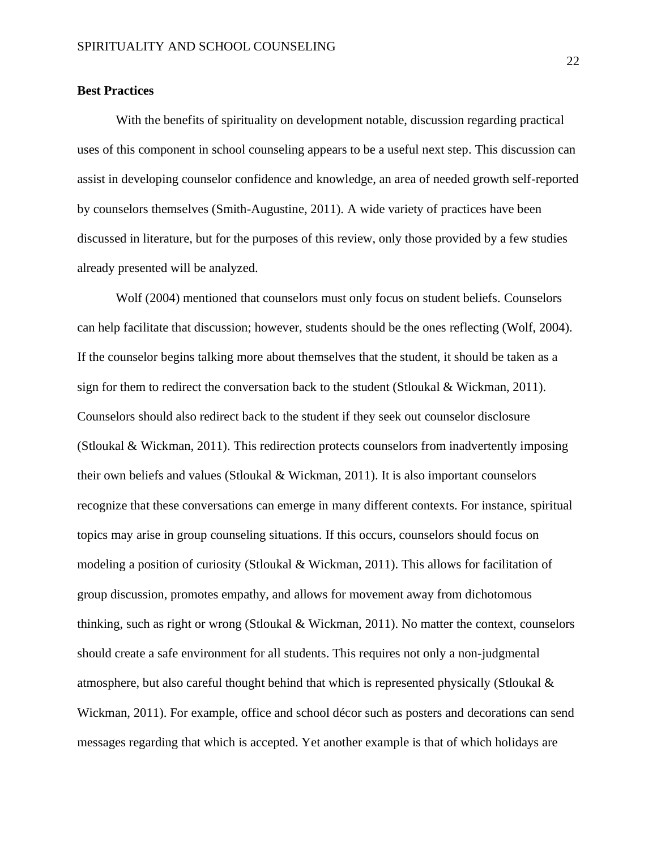## **Best Practices**

With the benefits of spirituality on development notable, discussion regarding practical uses of this component in school counseling appears to be a useful next step. This discussion can assist in developing counselor confidence and knowledge, an area of needed growth self-reported by counselors themselves (Smith-Augustine, 2011). A wide variety of practices have been discussed in literature, but for the purposes of this review, only those provided by a few studies already presented will be analyzed.

Wolf (2004) mentioned that counselors must only focus on student beliefs. Counselors can help facilitate that discussion; however, students should be the ones reflecting (Wolf, 2004). If the counselor begins talking more about themselves that the student, it should be taken as a sign for them to redirect the conversation back to the student (Stloukal & Wickman, 2011). Counselors should also redirect back to the student if they seek out counselor disclosure (Stloukal & Wickman, 2011). This redirection protects counselors from inadvertently imposing their own beliefs and values (Stloukal & Wickman, 2011). It is also important counselors recognize that these conversations can emerge in many different contexts. For instance, spiritual topics may arise in group counseling situations. If this occurs, counselors should focus on modeling a position of curiosity (Stloukal & Wickman, 2011). This allows for facilitation of group discussion, promotes empathy, and allows for movement away from dichotomous thinking, such as right or wrong (Stloukal & Wickman, 2011). No matter the context, counselors should create a safe environment for all students. This requires not only a non-judgmental atmosphere, but also careful thought behind that which is represented physically (Stloukal & Wickman, 2011). For example, office and school décor such as posters and decorations can send messages regarding that which is accepted. Yet another example is that of which holidays are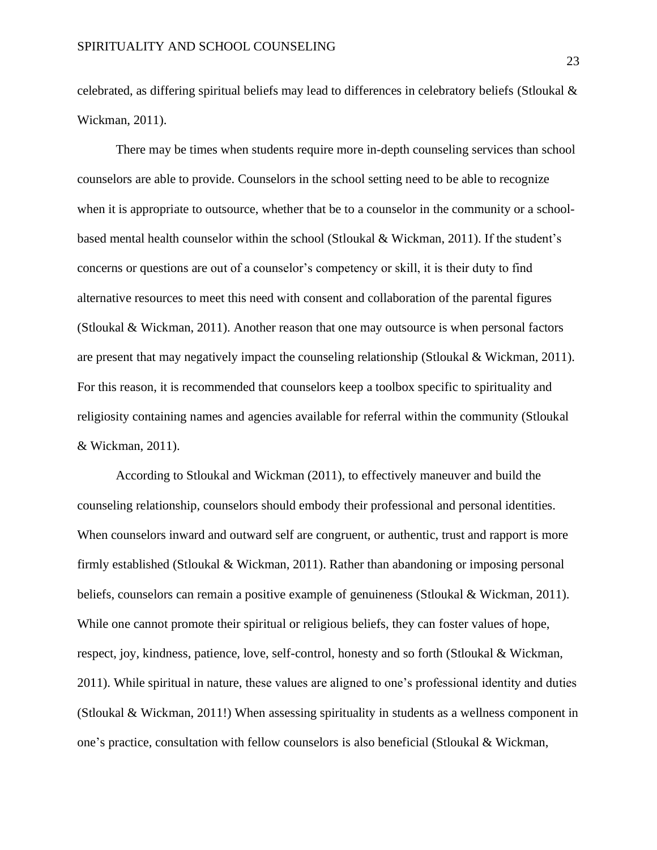celebrated, as differing spiritual beliefs may lead to differences in celebratory beliefs (Stloukal & Wickman, 2011).

There may be times when students require more in-depth counseling services than school counselors are able to provide. Counselors in the school setting need to be able to recognize when it is appropriate to outsource, whether that be to a counselor in the community or a schoolbased mental health counselor within the school (Stloukal & Wickman, 2011). If the student's concerns or questions are out of a counselor's competency or skill, it is their duty to find alternative resources to meet this need with consent and collaboration of the parental figures (Stloukal & Wickman, 2011). Another reason that one may outsource is when personal factors are present that may negatively impact the counseling relationship (Stloukal & Wickman, 2011). For this reason, it is recommended that counselors keep a toolbox specific to spirituality and religiosity containing names and agencies available for referral within the community (Stloukal & Wickman, 2011).

According to Stloukal and Wickman (2011), to effectively maneuver and build the counseling relationship, counselors should embody their professional and personal identities. When counselors inward and outward self are congruent, or authentic, trust and rapport is more firmly established (Stloukal & Wickman, 2011). Rather than abandoning or imposing personal beliefs, counselors can remain a positive example of genuineness (Stloukal & Wickman, 2011). While one cannot promote their spiritual or religious beliefs, they can foster values of hope, respect, joy, kindness, patience, love, self-control, honesty and so forth (Stloukal & Wickman, 2011). While spiritual in nature, these values are aligned to one's professional identity and duties (Stloukal & Wickman, 2011!) When assessing spirituality in students as a wellness component in one's practice, consultation with fellow counselors is also beneficial (Stloukal & Wickman,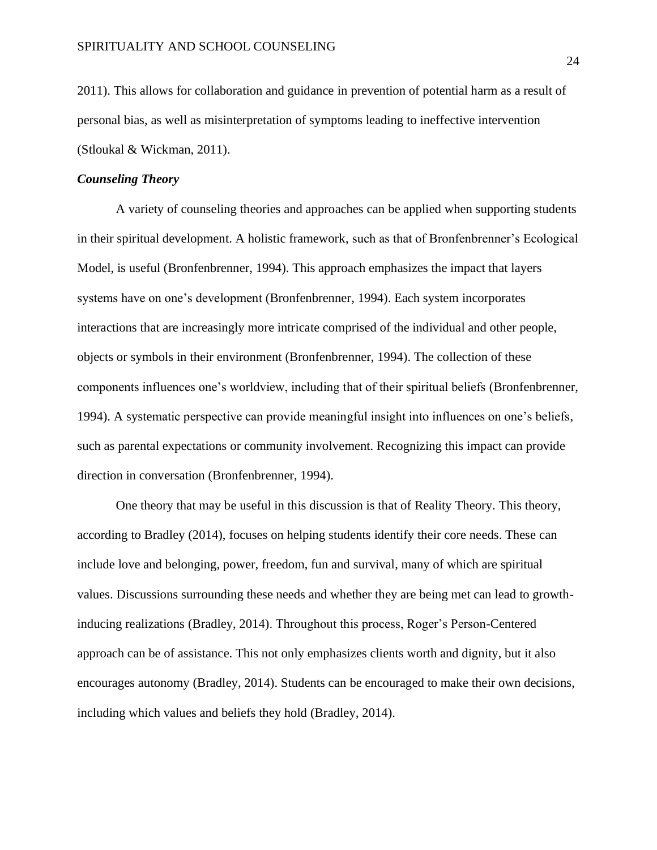2011). This allows for collaboration and guidance in prevention of potential harm as a result of personal bias, as well as misinterpretation of symptoms leading to ineffective intervention (Stloukal & Wickman, 2011).

## *Counseling Theory*

A variety of counseling theories and approaches can be applied when supporting students in their spiritual development. A holistic framework, such as that of Bronfenbrenner's Ecological Model, is useful (Bronfenbrenner, 1994). This approach emphasizes the impact that layers systems have on one's development (Bronfenbrenner, 1994). Each system incorporates interactions that are increasingly more intricate comprised of the individual and other people, objects or symbols in their environment (Bronfenbrenner, 1994). The collection of these components influences one's worldview, including that of their spiritual beliefs (Bronfenbrenner, 1994). A systematic perspective can provide meaningful insight into influences on one's beliefs, such as parental expectations or community involvement. Recognizing this impact can provide direction in conversation (Bronfenbrenner, 1994).

One theory that may be useful in this discussion is that of Reality Theory. This theory, according to Bradley (2014), focuses on helping students identify their core needs. These can include love and belonging, power, freedom, fun and survival, many of which are spiritual values. Discussions surrounding these needs and whether they are being met can lead to growthinducing realizations (Bradley, 2014). Throughout this process, Roger's Person-Centered approach can be of assistance. This not only emphasizes clients worth and dignity, but it also encourages autonomy (Bradley, 2014). Students can be encouraged to make their own decisions, including which values and beliefs they hold (Bradley, 2014).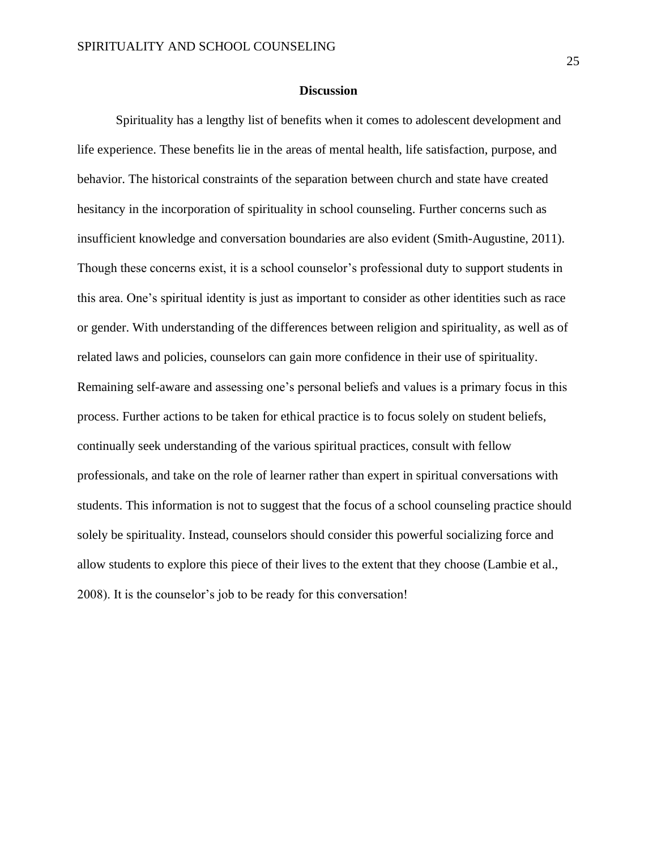#### **Discussion**

Spirituality has a lengthy list of benefits when it comes to adolescent development and life experience. These benefits lie in the areas of mental health, life satisfaction, purpose, and behavior. The historical constraints of the separation between church and state have created hesitancy in the incorporation of spirituality in school counseling. Further concerns such as insufficient knowledge and conversation boundaries are also evident (Smith-Augustine, 2011). Though these concerns exist, it is a school counselor's professional duty to support students in this area. One's spiritual identity is just as important to consider as other identities such as race or gender. With understanding of the differences between religion and spirituality, as well as of related laws and policies, counselors can gain more confidence in their use of spirituality. Remaining self-aware and assessing one's personal beliefs and values is a primary focus in this process. Further actions to be taken for ethical practice is to focus solely on student beliefs, continually seek understanding of the various spiritual practices, consult with fellow professionals, and take on the role of learner rather than expert in spiritual conversations with students. This information is not to suggest that the focus of a school counseling practice should solely be spirituality. Instead, counselors should consider this powerful socializing force and allow students to explore this piece of their lives to the extent that they choose (Lambie et al., 2008). It is the counselor's job to be ready for this conversation!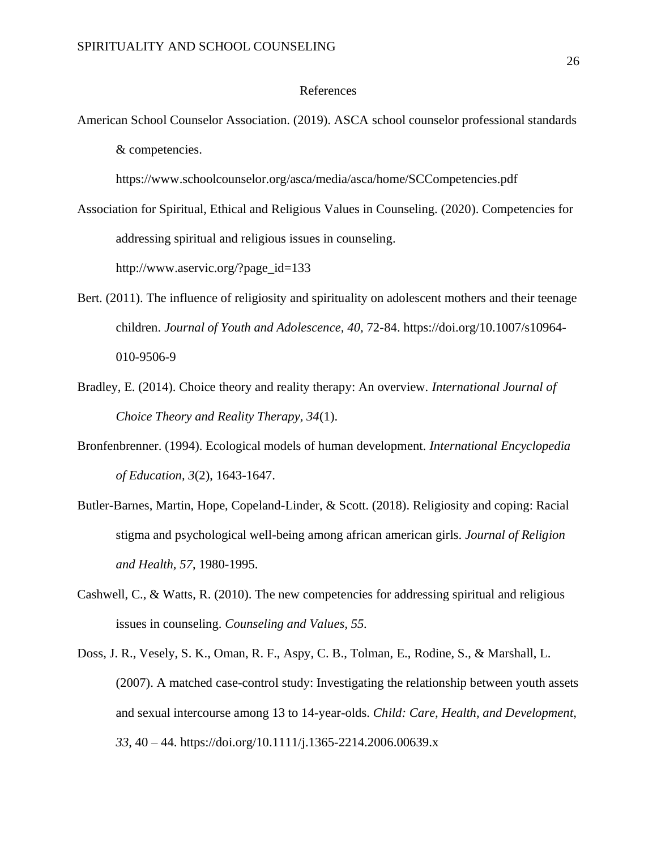#### References

American School Counselor Association. (2019). ASCA school counselor professional standards & competencies.

https://www.schoolcounselor.org/asca/media/asca/home/SCCompetencies.pdf

Association for Spiritual, Ethical and Religious Values in Counseling. (2020). Competencies for addressing spiritual and religious issues in counseling. http://www.aservic.org/?page\_id=133

- Bert. (2011). The influence of religiosity and spirituality on adolescent mothers and their teenage children. *Journal of Youth and Adolescence, 40,* 72-84. https://doi.org/10.1007/s10964- 010-9506-9
- Bradley, E. (2014). Choice theory and reality therapy: An overview. *International Journal of Choice Theory and Reality Therapy, 34*(1).
- Bronfenbrenner. (1994). Ecological models of human development. *International Encyclopedia of Education, 3*(2), 1643-1647.
- Butler-Barnes, Martin, Hope, Copeland-Linder, & Scott. (2018). Religiosity and coping: Racial stigma and psychological well-being among african american girls. *Journal of Religion and Health, 57*, 1980-1995.
- Cashwell, C., & Watts, R. (2010). The new competencies for addressing spiritual and religious issues in counseling. *Counseling and Values, 55.*
- Doss, J. R., Vesely, S. K., Oman, R. F., Aspy, C. B., Tolman, E., Rodine, S., & Marshall, L. (2007). A matched case-control study: Investigating the relationship between youth assets and sexual intercourse among 13 to 14-year-olds. *Child: Care, Health, and Development, 33*, 40 – 44. https://doi.org/10.1111/j.1365-2214.2006.00639.x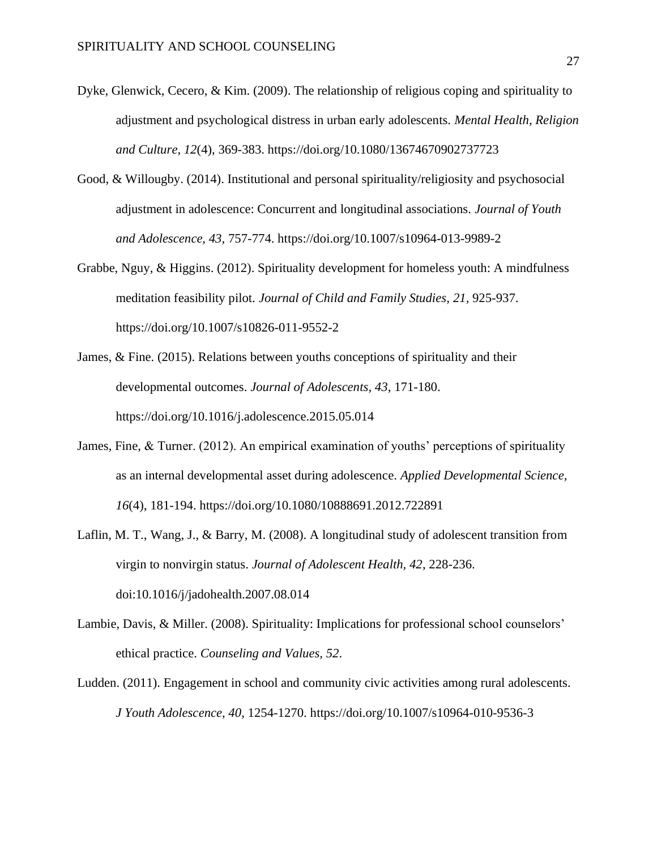- Dyke, Glenwick, Cecero, & Kim. (2009). The relationship of religious coping and spirituality to adjustment and psychological distress in urban early adolescents. *Mental Health, Religion and Culture, 12*(4), 369-383. https://doi.org/10.1080/13674670902737723
- Good, & Willougby. (2014). Institutional and personal spirituality/religiosity and psychosocial adjustment in adolescence: Concurrent and longitudinal associations. *Journal of Youth and Adolescence, 43,* 757-774. https://doi.org/10.1007/s10964-013-9989-2
- Grabbe, Nguy, & Higgins. (2012). Spirituality development for homeless youth: A mindfulness meditation feasibility pilot. *Journal of Child and Family Studies, 21,* 925-937. https://doi.org/10.1007/s10826-011-9552-2
- James, & Fine. (2015). Relations between youths conceptions of spirituality and their developmental outcomes. *Journal of Adolescents, 43*, 171-180. <https://doi.org/10.1016/j.adolescence.2015.05.014>
- James, Fine, & Turner. (2012). An empirical examination of youths' perceptions of spirituality as an internal developmental asset during adolescence. *Applied Developmental Science, 16*(4), 181-194. https://doi.org/10.1080/10888691.2012.722891
- Laflin, M. T., Wang, J., & Barry, M. (2008). A longitudinal study of adolescent transition from virgin to nonvirgin status. *Journal of Adolescent Health, 42*, 228-236. doi:10.1016/j/jadohealth.2007.08.014
- Lambie, Davis, & Miller. (2008). Spirituality: Implications for professional school counselors' ethical practice. *Counseling and Values, 52*.
- Ludden. (2011). Engagement in school and community civic activities among rural adolescents. *J Youth Adolescence, 40*, 1254-1270. https://doi.org/10.1007/s10964-010-9536-3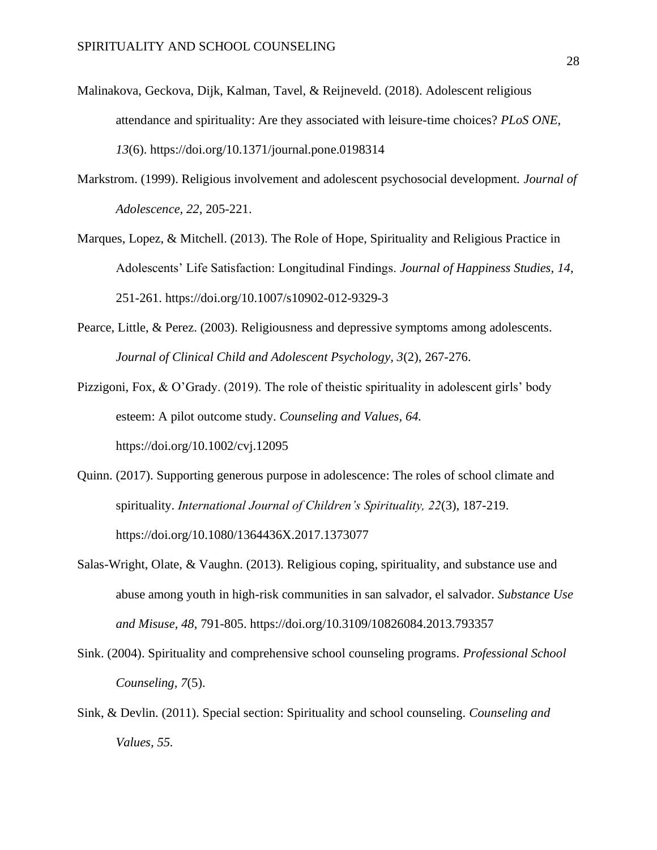- Malinakova, Geckova, Dijk, Kalman, Tavel, & Reijneveld. (2018). Adolescent religious attendance and spirituality: Are they associated with leisure-time choices? *PLoS ONE, 13*(6). https://doi.org/10.1371/journal.pone.0198314
- Markstrom. (1999). Religious involvement and adolescent psychosocial development. *Journal of Adolescence, 22,* 205-221.
- Marques, Lopez, & Mitchell. (2013). The Role of Hope, Spirituality and Religious Practice in Adolescents' Life Satisfaction: Longitudinal Findings. *Journal of Happiness Studies, 14*, 251-261. https://doi.org/10.1007/s10902-012-9329-3
- Pearce, Little, & Perez. (2003). Religiousness and depressive symptoms among adolescents. *Journal of Clinical Child and Adolescent Psychology, 3*(2), 267-276.
- Pizzigoni, Fox, & O'Grady. (2019). The role of theistic spirituality in adolescent girls' body esteem: A pilot outcome study. *Counseling and Values, 64.*  https://doi.org/10.1002/cvj.12095
- Quinn. (2017). Supporting generous purpose in adolescence: The roles of school climate and spirituality. *International Journal of Children's Spirituality, 22*(3), 187-219. <https://doi.org/10.1080/1364436X.2017.1373077>
- Salas-Wright, Olate, & Vaughn. (2013). Religious coping, spirituality, and substance use and abuse among youth in high-risk communities in san salvador, el salvador. *Substance Use and Misuse, 48*, 791-805. https://doi.org/10.3109/10826084.2013.793357
- Sink. (2004). Spirituality and comprehensive school counseling programs. *Professional School Counseling, 7*(5).
- Sink, & Devlin. (2011). Special section: Spirituality and school counseling. *Counseling and Values, 55.*